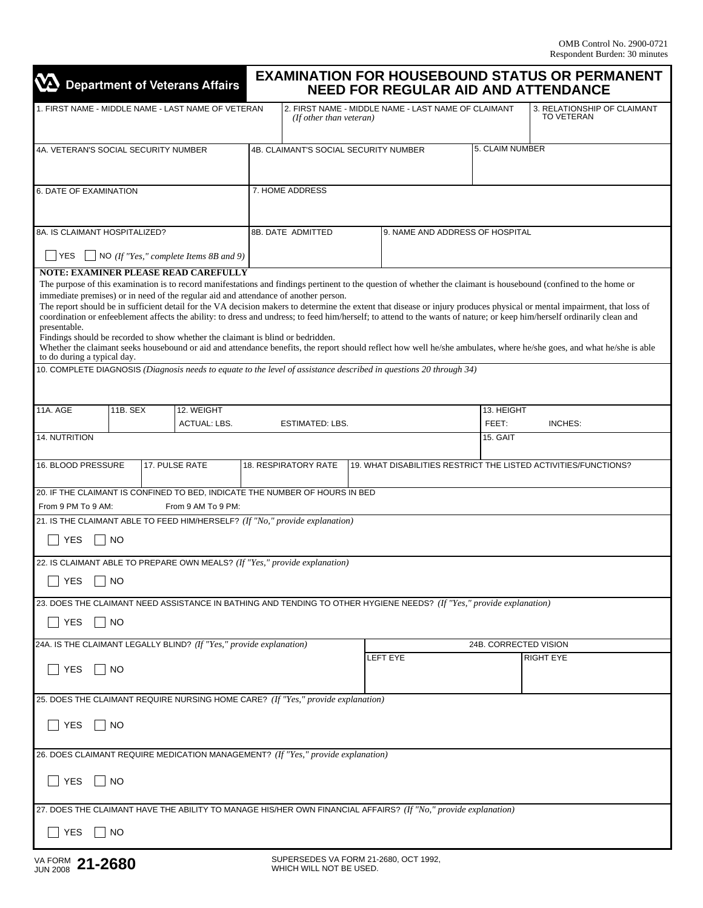| <b>VA</b> Department of Veterans Affairs                                                                                               |           |                                                                                                                                                                                                                       |                                                                                | <b>EXAMINATION FOR HOUSEBOUND STATUS OR PERMANENT</b><br><b>NEED FOR REGULAR AID AND ATTENDANCE</b> |  |                                                                                                                      |                                                  |                                                                                                                                                                                                                                                                                                                                                                                                                                                                                                                                                                                                                                                                                                   |  |
|----------------------------------------------------------------------------------------------------------------------------------------|-----------|-----------------------------------------------------------------------------------------------------------------------------------------------------------------------------------------------------------------------|--------------------------------------------------------------------------------|-----------------------------------------------------------------------------------------------------|--|----------------------------------------------------------------------------------------------------------------------|--------------------------------------------------|---------------------------------------------------------------------------------------------------------------------------------------------------------------------------------------------------------------------------------------------------------------------------------------------------------------------------------------------------------------------------------------------------------------------------------------------------------------------------------------------------------------------------------------------------------------------------------------------------------------------------------------------------------------------------------------------------|--|
| 1. FIRST NAME - MIDDLE NAME - LAST NAME OF VETERAN                                                                                     |           |                                                                                                                                                                                                                       | 2. FIRST NAME - MIDDLE NAME - LAST NAME OF CLAIMANT<br>(If other than veteran) |                                                                                                     |  |                                                                                                                      | 3. RELATIONSHIP OF CLAIMANT<br><b>TO VETERAN</b> |                                                                                                                                                                                                                                                                                                                                                                                                                                                                                                                                                                                                                                                                                                   |  |
| 4A. VETERAN'S SOCIAL SECURITY NUMBER                                                                                                   |           |                                                                                                                                                                                                                       | <b>4B. CLAIMANT'S SOCIAL SECURITY NUMBER</b>                                   |                                                                                                     |  |                                                                                                                      | 5. CLAIM NUMBER                                  |                                                                                                                                                                                                                                                                                                                                                                                                                                                                                                                                                                                                                                                                                                   |  |
| 6. DATE OF EXAMINATION                                                                                                                 |           |                                                                                                                                                                                                                       | 7. HOME ADDRESS                                                                |                                                                                                     |  |                                                                                                                      |                                                  |                                                                                                                                                                                                                                                                                                                                                                                                                                                                                                                                                                                                                                                                                                   |  |
| 8A. IS CLAIMANT HOSPITALIZED?                                                                                                          |           |                                                                                                                                                                                                                       | 8B. DATE ADMITTED<br>9. NAME AND ADDRESS OF HOSPITAL                           |                                                                                                     |  |                                                                                                                      |                                                  |                                                                                                                                                                                                                                                                                                                                                                                                                                                                                                                                                                                                                                                                                                   |  |
| $\Box$ NO (If "Yes," complete Items 8B and 9)<br>  YES                                                                                 |           |                                                                                                                                                                                                                       |                                                                                |                                                                                                     |  |                                                                                                                      |                                                  |                                                                                                                                                                                                                                                                                                                                                                                                                                                                                                                                                                                                                                                                                                   |  |
| presentable.<br>to do during a typical day.                                                                                            |           | <b>NOTE: EXAMINER PLEASE READ CAREFULLY</b><br>immediate premises) or in need of the regular aid and attendance of another person.<br>Findings should be recorded to show whether the claimant is blind or bedridden. |                                                                                |                                                                                                     |  | 10. COMPLETE DIAGNOSIS (Diagnosis needs to equate to the level of assistance described in questions 20 through 34)   |                                                  | The purpose of this examination is to record manifestations and findings pertinent to the question of whether the claimant is housebound (confined to the home or<br>The report should be in sufficient detail for the VA decision makers to determine the extent that disease or injury produces physical or mental impairment, that loss of<br>coordination or enfeeblement affects the ability: to dress and undress; to feed him/herself; to attend to the wants of nature; or keep him/herself ordinarily clean and<br>Whether the claimant seeks housebound or aid and attendance benefits, the report should reflect how well he/she ambulates, where he/she goes, and what he/she is able |  |
|                                                                                                                                        |           |                                                                                                                                                                                                                       |                                                                                |                                                                                                     |  |                                                                                                                      |                                                  |                                                                                                                                                                                                                                                                                                                                                                                                                                                                                                                                                                                                                                                                                                   |  |
| 11A. AGE                                                                                                                               | 11B. SEX  | 12. WEIGHT                                                                                                                                                                                                            |                                                                                |                                                                                                     |  |                                                                                                                      | 13. HEIGHT                                       |                                                                                                                                                                                                                                                                                                                                                                                                                                                                                                                                                                                                                                                                                                   |  |
| <b>ACTUAL: LBS.</b>                                                                                                                    |           |                                                                                                                                                                                                                       | <b>ESTIMATED: LBS.</b>                                                         |                                                                                                     |  |                                                                                                                      | FEET:<br>15. GAIT                                | INCHES:                                                                                                                                                                                                                                                                                                                                                                                                                                                                                                                                                                                                                                                                                           |  |
| 14. NUTRITION                                                                                                                          |           |                                                                                                                                                                                                                       |                                                                                |                                                                                                     |  |                                                                                                                      |                                                  |                                                                                                                                                                                                                                                                                                                                                                                                                                                                                                                                                                                                                                                                                                   |  |
| 16. BLOOD PRESSURE<br>17. PULSE RATE<br><b>18. RESPIRATORY RATE</b><br>19. WHAT DISABILITIES RESTRICT THE LISTED ACTIVITIES/FUNCTIONS? |           |                                                                                                                                                                                                                       |                                                                                |                                                                                                     |  |                                                                                                                      |                                                  |                                                                                                                                                                                                                                                                                                                                                                                                                                                                                                                                                                                                                                                                                                   |  |
| 20. IF THE CLAIMANT IS CONFINED TO BED, INDICATE THE NUMBER OF HOURS IN BED<br>From 9 PM To 9 AM:                                      |           | From 9 AM To 9 PM:                                                                                                                                                                                                    |                                                                                |                                                                                                     |  |                                                                                                                      |                                                  |                                                                                                                                                                                                                                                                                                                                                                                                                                                                                                                                                                                                                                                                                                   |  |
|                                                                                                                                        |           |                                                                                                                                                                                                                       |                                                                                |                                                                                                     |  |                                                                                                                      |                                                  |                                                                                                                                                                                                                                                                                                                                                                                                                                                                                                                                                                                                                                                                                                   |  |
| 21. IS THE CLAIMANT ABLE TO FEED HIM/HERSELF? (If "No," provide explanation)<br><b>YES</b><br><b>NO</b>                                |           |                                                                                                                                                                                                                       |                                                                                |                                                                                                     |  |                                                                                                                      |                                                  |                                                                                                                                                                                                                                                                                                                                                                                                                                                                                                                                                                                                                                                                                                   |  |
| 22. IS CLAIMANT ABLE TO PREPARE OWN MEALS? (If "Yes," provide explanation)                                                             |           |                                                                                                                                                                                                                       |                                                                                |                                                                                                     |  |                                                                                                                      |                                                  |                                                                                                                                                                                                                                                                                                                                                                                                                                                                                                                                                                                                                                                                                                   |  |
| $\Box$ YES<br>$\Box$ NO                                                                                                                |           |                                                                                                                                                                                                                       |                                                                                |                                                                                                     |  |                                                                                                                      |                                                  |                                                                                                                                                                                                                                                                                                                                                                                                                                                                                                                                                                                                                                                                                                   |  |
| <b>YES</b>                                                                                                                             | NO        |                                                                                                                                                                                                                       |                                                                                |                                                                                                     |  | 23. DOES THE CLAIMANT NEED ASSISTANCE IN BATHING AND TENDING TO OTHER HYGIENE NEEDS? (If "Yes," provide explanation) |                                                  |                                                                                                                                                                                                                                                                                                                                                                                                                                                                                                                                                                                                                                                                                                   |  |
| 24A. IS THE CLAIMANT LEGALLY BLIND? (If "Yes," provide explanation)                                                                    |           |                                                                                                                                                                                                                       |                                                                                | <b>LEFT EYE</b>                                                                                     |  |                                                                                                                      | 24B. CORRECTED VISION<br><b>RIGHT EYE</b>        |                                                                                                                                                                                                                                                                                                                                                                                                                                                                                                                                                                                                                                                                                                   |  |
| <b>YES</b><br>NO                                                                                                                       |           |                                                                                                                                                                                                                       |                                                                                |                                                                                                     |  |                                                                                                                      |                                                  |                                                                                                                                                                                                                                                                                                                                                                                                                                                                                                                                                                                                                                                                                                   |  |
| 25. DOES THE CLAIMANT REQUIRE NURSING HOME CARE? (If "Yes," provide explanation)                                                       |           |                                                                                                                                                                                                                       |                                                                                |                                                                                                     |  |                                                                                                                      |                                                  |                                                                                                                                                                                                                                                                                                                                                                                                                                                                                                                                                                                                                                                                                                   |  |
| <b>YES</b>                                                                                                                             | <b>NO</b> |                                                                                                                                                                                                                       |                                                                                |                                                                                                     |  |                                                                                                                      |                                                  |                                                                                                                                                                                                                                                                                                                                                                                                                                                                                                                                                                                                                                                                                                   |  |
| 26. DOES CLAIMANT REQUIRE MEDICATION MANAGEMENT? (If "Yes," provide explanation)                                                       |           |                                                                                                                                                                                                                       |                                                                                |                                                                                                     |  |                                                                                                                      |                                                  |                                                                                                                                                                                                                                                                                                                                                                                                                                                                                                                                                                                                                                                                                                   |  |
| <b>YES</b><br><b>NO</b>                                                                                                                |           |                                                                                                                                                                                                                       |                                                                                |                                                                                                     |  |                                                                                                                      |                                                  |                                                                                                                                                                                                                                                                                                                                                                                                                                                                                                                                                                                                                                                                                                   |  |
| 27. DOES THE CLAIMANT HAVE THE ABILITY TO MANAGE HIS/HER OWN FINANCIAL AFFAIRS? (If "No," provide explanation)                         |           |                                                                                                                                                                                                                       |                                                                                |                                                                                                     |  |                                                                                                                      |                                                  |                                                                                                                                                                                                                                                                                                                                                                                                                                                                                                                                                                                                                                                                                                   |  |
| <b>YES</b>                                                                                                                             | NO        |                                                                                                                                                                                                                       |                                                                                |                                                                                                     |  |                                                                                                                      |                                                  |                                                                                                                                                                                                                                                                                                                                                                                                                                                                                                                                                                                                                                                                                                   |  |
|                                                                                                                                        |           |                                                                                                                                                                                                                       |                                                                                |                                                                                                     |  |                                                                                                                      |                                                  |                                                                                                                                                                                                                                                                                                                                                                                                                                                                                                                                                                                                                                                                                                   |  |